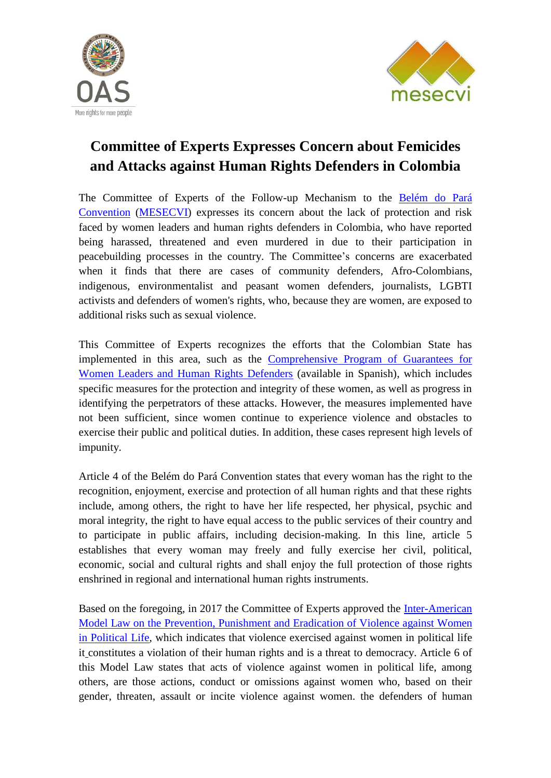



## **Committee of Experts Expresses Concern about Femicides and Attacks against Human Rights Defenders in Colombia**

The Committee of Experts of the Follow-up Mechanism to the [Belém do Pará](http://www.oas.org/es/mesecvi/docs/BelemDoPara-ENGLISH.pdf)  [Convention](http://www.oas.org/es/mesecvi/docs/BelemDoPara-ENGLISH.pdf) [\(MESECVI\)](http://www.oas.org/en/mesecvi/about.asp) expresses its concern about the lack of protection and risk faced by women leaders and human rights defenders in Colombia, who have reported being harassed, threatened and even murdered in due to their participation in peacebuilding processes in the country. The Committee's concerns are exacerbated when it finds that there are cases of community defenders, Afro-Colombians, indigenous, environmentalist and peasant women defenders, journalists, LGBTI activists and defenders of women's rights, who, because they are women, are exposed to additional risks such as sexual violence.

This Committee of Experts recognizes the efforts that the Colombian State has implemented in this area, such as the [Comprehensive Program of Guarantees for](http://www.equidadmujer.gov.co/ejes/publicaciones/programa-integral-garantias.pdf)  [Women Leaders and Human Rights Defenders](http://www.equidadmujer.gov.co/ejes/publicaciones/programa-integral-garantias.pdf) (available in Spanish), which includes specific measures for the protection and integrity of these women, as well as progress in identifying the perpetrators of these attacks. However, the measures implemented have not been sufficient, since women continue to experience violence and obstacles to exercise their public and political duties. In addition, these cases represent high levels of impunity.

Article 4 of the Belém do Pará Convention states that every woman has the right to the recognition, enjoyment, exercise and protection of all human rights and that these rights include, among others, the right to have her life respected, her physical, psychic and moral integrity, the right to have equal access to the public services of their country and to participate in public affairs, including decision-making. In this line, article 5 establishes that every woman may freely and fully exercise her civil, political, economic, social and cultural rights and shall enjoy the full protection of those rights enshrined in regional and international human rights instruments.

Based on the foregoing, in 2017 the Committee of Experts approved the [Inter-American](http://www.oas.org/en/mesecvi/docs/LeyModeloViolenciaPolitica-EN.pdf)  Model Law on the [Prevention, Punishment and Eradication of](http://www.oas.org/en/mesecvi/docs/LeyModeloViolenciaPolitica-EN.pdf) Violence against Women [in Political Life,](http://www.oas.org/en/mesecvi/docs/LeyModeloViolenciaPolitica-EN.pdf) which indicates that violence exercised against women in political life it constitutes a violation of their human rights and is a threat to democracy. Article 6 of this Model Law states that acts of violence against women in political life, among others, are those actions, conduct or omissions against women who, based on their gender, threaten, assault or incite violence against women. the defenders of human